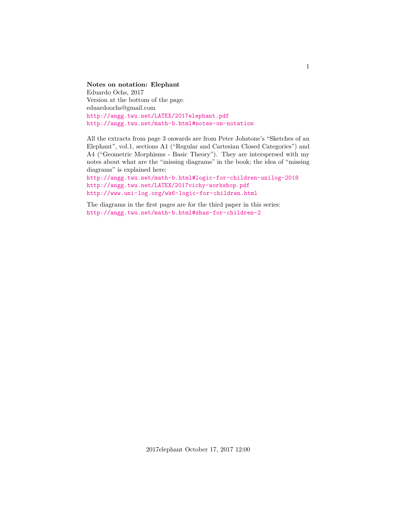# **Notes on notation: Elephant** Eduardo Ochs, 2017 Version at the bottom of the page. eduardoochs@gmail.com

<http://angg.twu.net/LATEX/2017elephant.pdf> <http://angg.twu.net/math-b.html#notes-on-notation>

All the extracts from page 3 onwards are from Peter Johstone's "Sketches of an Elephant", vol.1, sections A1 ("Regular and Cartesian Closed Categories") and A4 ("Geometric Morphisms - Basic Theory"). They are interspersed with my notes about what are the "missing diagrams" in the book; the idea of "missing diagrams" is explained here:

<http://angg.twu.net/math-b.html#logic-for-children-unilog-2018> <http://angg.twu.net/LATEX/2017vichy-workshop.pdf> <http://www.uni-log.org/wk6-logic-for-children.html>

The diagrams in the first pages are for the third paper in this series: <http://angg.twu.net/math-b.html#zhas-for-children-2>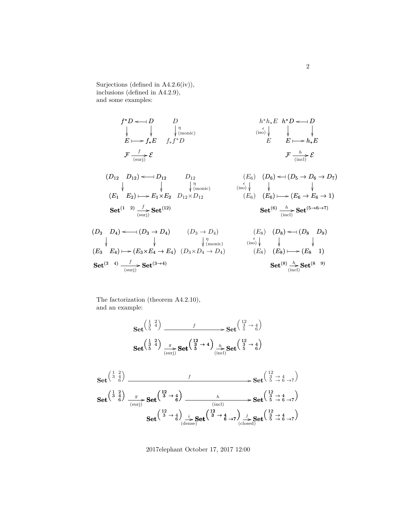Surjections (defined in A4.2.6(iv)), inclusions (defined in A4.2.9), and some examples:

$$
f^*D \leftarrow D
$$
  
\n
$$
\downarrow \qquad \qquad D
$$
  
\n
$$
\downarrow \qquad \qquad \downarrow \qquad \qquad \downarrow \qquad \qquad \downarrow \qquad \qquad \downarrow \qquad \qquad \downarrow \qquad \downarrow
$$
  
\n
$$
E \longmapsto f_*E
$$
  
\n
$$
f_*f^*D
$$
  
\n
$$
F \xrightarrow{\begin{array}{c} f \\ \text{(surj)} \end{array}} \mathcal{E}
$$
  
\n
$$
(D_{12} D_{12}) \leftarrow D_{12} D_{12}
$$
  
\n
$$
\downarrow \qquad \qquad \downarrow \qquad \qquad \downarrow \qquad \qquad \downarrow \qquad \qquad \downarrow \qquad \downarrow \qquad \downarrow \qquad \downarrow \qquad \downarrow
$$
  
\n
$$
(E_1 E_2) \longmapsto E_1 \times E_2 D_{12} \times D_{12}
$$
  
\n
$$
(E_3 E_1)^{\{1,2\}} \leftarrow E_1 \times E_2 D_{12} \times D_{12}
$$
  
\n
$$
(E_4 E_2) \longmapsto E_1 \times E_2 D_{12} \times D_{12}
$$
  
\n
$$
(E_5) (E_6) \longmapsto (E_6 \rightarrow E_6 \rightarrow 1)
$$
  
\n
$$
(\text{Set}^{(6)} \xrightarrow{\begin{array}{c} h \\ h \\ \text{(incl)}} \mathbf{Set}^{(5\rightarrow 6\rightarrow 7)} \\ (\text{incl}) \end{array})
$$
  
\n
$$
(D_3 D_4) \leftarrow (D_3 \rightarrow D_4) \qquad (D_3 \rightarrow D_4) \qquad (E_8) (D_8) \leftarrow (D_8 D_9)
$$
  
\n
$$
\downarrow \qquad \qquad \downarrow \qquad \downarrow \qquad \downarrow \qquad \downarrow
$$
  
\n
$$
(E_9) (E_8) \leftarrow (D_8 D_9)
$$

$$
\begin{array}{ccccc}\n\downarrow & & \downarrow & & \downarrow & & \downarrow \\
(E_3 & E_4) \longmapsto (E_3 \times E_4 \to E_4) & (D_3 \times D_4 \to D_4) & & & & (iso) \downarrow & & \downarrow & & \downarrow \\
\mathbf{Set}^{(3-4)} & \xrightarrow{\qquad f} & \mathbf{Set}^{(3\to 4)} & & & & & \mathbf{Set}^{(8)} \xrightarrow{\hbar} \mathbf{Set}^{(8-9)} \\
\mathbf{Set}^{(8)} & \xrightarrow{\hbar} & \mathbf{Set}^{(8-9)} & & & & \\
\end{array}
$$

The factorization (theorem A4.2.10), and an example:

Set 
$$
\begin{pmatrix} 1 & 2 \ 3 & 4 \end{pmatrix}
$$
  
\nSet  $\begin{pmatrix} 1 & 2 \ 3 & 4 \end{pmatrix}$   
\nSet  $\begin{pmatrix} 1 & 2 \ 3 & 4 \end{pmatrix}$   
\nSet  $\begin{pmatrix} 1 & 2 \ 3 & 4 \end{pmatrix}$   
\nSet  $\begin{pmatrix} 1 & 2 \ 3 & 4 \end{pmatrix}$   
\nSet  $\begin{pmatrix} 1 & 2 \ 3 & 4 \end{pmatrix}$   
\nSet  $\begin{pmatrix} 1 & 2 \ 3 & 4 \end{pmatrix}$   
\nSet  $\begin{pmatrix} 1 & 2 \ 3 & 4 \end{pmatrix}$   
\nSet  $\begin{pmatrix} 1 & 2 \ 3 & 4 \end{pmatrix}$   
\nSet  $\begin{pmatrix} 1 & 2 \ 3 & 4 \end{pmatrix}$   
\nSet  $\begin{pmatrix} 1 & 2 \ 3 & 4 \end{pmatrix}$   
\nSet  $\begin{pmatrix} 1 & 2 \ 3 & 4 \end{pmatrix}$   
\nSet  $\begin{pmatrix} 1 & 2 \ 3 & 4 \end{pmatrix}$   
\nSet  $\begin{pmatrix} 1 & 2 \ 3 & 4 \end{pmatrix}$   
\nSet  $\begin{pmatrix} 1 & 2 \ 3 & 4 \end{pmatrix}$   
\nSet  $\begin{pmatrix} 1 & 2 \ 3 & 4 \end{pmatrix}$   
\nSet  $\begin{pmatrix} 1 & 2 \ 3 & 4 \end{pmatrix}$   
\nSet  $\begin{pmatrix} 1 & 2 \ 3 & 4 \end{pmatrix}$   
\nSet  $\begin{pmatrix} 1 & 2 \ 3 & 4 \end{pmatrix}$   
\nSet  $\begin{pmatrix} 1 & 2 \ 3 & 4 \end{pmatrix}$   
\nSet  $\begin{pmatrix} 1 & 2 \ 3 & 4 \end{pmatrix}$   
\nSet  $\begin{pmatrix} 1 & 2 \ 3 & 4 \end{pmatrix}$   
\nSet  $\begin{pmatrix} 1 & 2 \ 3 & 4 \end{pmatrix}$   
\nSet  $\begin{pmatrix} 1 & 2 \ 3 & 4 \end{pmatrix}$   
\nSet  $\begin{pmatrix} 1 & 2 \ 3 & 4 \$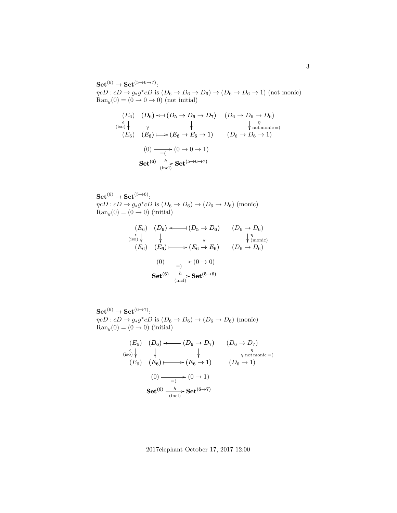$\mathrm{Set}^{(6)} \to \mathrm{Set}^{(5 \to 6 \to 7)}$ :  $\eta cD : cD \to g_*g^*cD$  is  $(D_6 \to D_6 \to D_6) \to (D_6 \to D_6 \to 1)$  (not monic)  $\text{Ran}_q(0) = (0 \to 0 \to 0)$  (not initial)

$$
(E_6) \t(D_6) \leftarrow (D_5 \rightarrow D_6 \rightarrow D_7) \t(D_6 \rightarrow D_6 \rightarrow D_6)
$$
  
\n
$$
\begin{array}{ccc}\n\epsilon \\
\epsilon \\
(E_6) & (E_6) & \rightarrow (E_6 \rightarrow E_6 \rightarrow 1) & (D_6 \rightarrow D_6 \rightarrow 1) \\
(0) & \longrightarrow (0 \rightarrow 0 \rightarrow 1) & (D_6 \rightarrow D_6 \rightarrow 1)\n\end{array}
$$
\n
$$
(6) \t(D_6 \rightarrow D_6 \rightarrow 1)
$$
\n
$$
(1) \t(D_6 \rightarrow D_6 \rightarrow 1)
$$
\n
$$
(1) \t(D_6 \rightarrow D_6 \rightarrow 1)
$$
\n
$$
(2) \t(D_6 \rightarrow D_6 \rightarrow 1)
$$
\n
$$
(3) \t(D_6 \rightarrow D_6 \rightarrow 1)
$$
\n
$$
(4) \t(D_6 \rightarrow D_6 \rightarrow 1)
$$
\n
$$
(5) \t(D_6 \rightarrow D_6 \rightarrow 1)
$$

 $\mathrm{Set}^{(6)} \to \mathrm{Set}^{(5 \to 6)}$ :  $\eta cD : cD \to g_*g^*cD$  is  $(D_6 \to D_6) \to (D_6 \to D_6)$  (monic)  $\text{Ran}_g(0) = (0 \rightarrow 0)$  (initial)

$$
(E_6) \t(D_6) \longleftrightarrow (D_5 \rightarrow D_6) \t(D_6 \rightarrow D_6)
$$
  
\n
$$
\begin{array}{ccc}\n(E_6) & \downarrow & \downarrow & \downarrow \\
(E_6) & (E_6) & \longrightarrow (E_6 \rightarrow E_6) & (D_6 \rightarrow D_6)\n\end{array}
$$
  
\n
$$
(0) \xrightarrow{\qquad \qquad } (0 \rightarrow 0)
$$
  
\nSet<sup>(6)</sup>  $\frac{h}{(\text{incl})}$  Set<sup>(5\rightarrow6)</sup>

 $\mathbf{Set}^{(6)} \to \mathbf{Set}^{(6 \to 7)}$ :  $\eta cD : cD \to g_*g^*cD$  is  $(D_6 \to D_6) \to (D_6 \to D_6)$  (monic)  $\text{Ran}_q(0) = (0 \rightarrow 0)$  (initial)

(E6) (E6) (iso) (D<sup>6</sup> → D7) (D<sup>6</sup> → 1) η not monic =( (D6) ( o D<sup>6</sup> → D7) ✤ ) (E6) (E<sup>6</sup> → 1) ) ✤ / (0) (0 → 1) =( / Set(6) Set <sup>h</sup> / (6→7) (incl)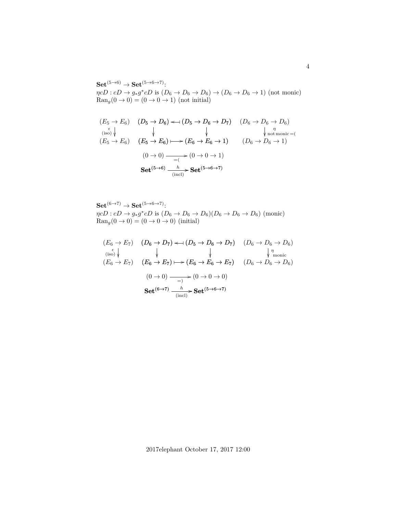$\mathrm{Set}^{(5\to6)}\to \mathrm{Set}^{(5\to6\to7)}.$  $\eta cD : cD \to g_*g^*cD$  is  $(D_6 \to D_6 \to D_6) \to (D_6 \to D_6 \to 1)$  (not monic)  $\text{Ran}_g(0 \to 0) = (0 \to 0 \to 1)$  (not initial)

$$
(E_5 \to E_6) \quad (D_5 \to D_6) \iff (D_5 \to D_6 \to D_7) \quad (D_6 \to D_6 \to D_6)
$$
\n
$$
(E_5 \to E_6) \quad (E_5 \to E_6) \iff (E_6 \to E_6 \to 1) \quad (D_6 \to D_6 \to 1)
$$
\n
$$
(0 \to 0) \xrightarrow{=} (0 \to 0 \to 1)
$$
\n
$$
(5 \to 6) \quad (0 \to 0 \to 1)
$$
\n
$$
(0 \to 0) \xrightarrow{h} \text{Set}^{(5 \to 6 \to 7)}
$$

Set<sup>(6→7)</sup> → Set<sup>(5→6→7)</sup>:  
\n
$$
\eta cD : cD \to g_*g^*cD
$$
 is  $(D_6 \to D_6 \to D_6)(D_6 \to D_6 \to D_6)$  (monic)  
\n $\text{Ran}_g(0 \to 0) = (0 \to 0 \to 0)$  (initial)

$$
(E_6 \to E_7) \quad (D_6 \to D_7) \iff (D_5 \to D_6 \to D_7) \quad (D_6 \to D_6 \to D_6)
$$
  
\n
$$
(E_6 \to E_7) \quad (E_6 \to E_7) \mapsto (E_6 \to E_6 \to E_7) \quad (D_6 \to D_6 \to D_6)
$$
  
\n
$$
(0 \to 0) \xrightarrow{\phantom{0}} (0 \to 0 \to 0)
$$
  
\n
$$
Set^{(6 \to 7)} \xrightarrow{\phantom{0}} \xrightarrow{\phantom{0}} (incl)^{\phantom{0}} \text{Set}^{(5 \to 6 \to 7)}
$$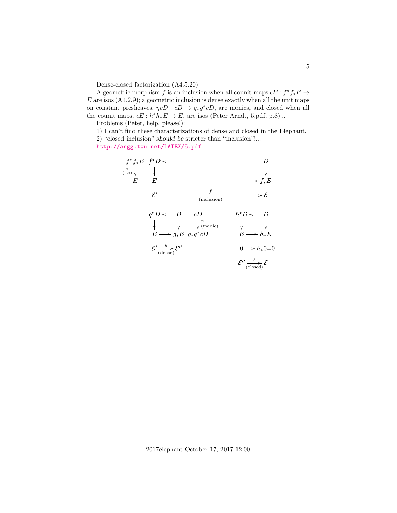Dense-closed factorization (A4.5.20)

A geometric morphism f is an inclusion when all counit maps  $\epsilon E : f^* f_* E \to$  $E$  are isos  $(A4.2.9)$ ; a geometric inclusion is dense exactly when all the unit maps on constant presheaves,  $\eta cD : cD \to g_*g^*cD$ , are monics, and closed when all the counit maps,  $\epsilon E : h^* h_* E \to E$ , are isos (Peter Arndt, 5.pdf, p.8)...

Problems (Peter, help, please!):

1) I can't find these characterizations of dense and closed in the Elephant, 2) "closed inclusion" should be stricter than "inclusion"!...

<http://angg.twu.net/LATEX/5.pdf>

$$
f^* f_* E f^* D \leftarrow
$$
  
\n
$$
E \downarrow
$$
  
\n
$$
E \downarrow
$$
  
\n
$$
E \downarrow
$$
  
\n
$$
E \downarrow
$$
  
\n
$$
g^* D \leftarrow D \downarrow
$$
  
\n
$$
\downarrow
$$
  
\n
$$
g^* D \leftarrow D \downarrow
$$
  
\n
$$
\downarrow
$$
  
\n
$$
\downarrow
$$
  
\n
$$
\downarrow
$$
  
\n
$$
\downarrow
$$
  
\n
$$
\downarrow
$$
  
\n
$$
\downarrow
$$
  
\n
$$
\downarrow
$$
  
\n
$$
\downarrow
$$
  
\n
$$
\downarrow
$$
  
\n
$$
\downarrow
$$
  
\n
$$
\downarrow
$$
  
\n
$$
\downarrow
$$
  
\n
$$
\downarrow
$$
  
\n
$$
\downarrow
$$
  
\n
$$
\downarrow
$$
  
\n
$$
\downarrow
$$
  
\n
$$
\downarrow
$$
  
\n
$$
\downarrow
$$
  
\n
$$
\downarrow
$$
  
\n
$$
\downarrow
$$
  
\n
$$
\downarrow
$$
  
\n
$$
\downarrow
$$
  
\n
$$
\downarrow
$$
  
\n
$$
\downarrow
$$
  
\n
$$
\downarrow
$$
  
\n
$$
\downarrow
$$
  
\n
$$
\downarrow
$$
  
\n
$$
\downarrow
$$
  
\n
$$
\downarrow
$$
  
\n
$$
\downarrow
$$
  
\n
$$
\downarrow
$$
  
\n
$$
\downarrow
$$
  
\n
$$
\downarrow
$$
  
\n
$$
\downarrow
$$
  
\n
$$
\downarrow
$$
  
\n
$$
\downarrow
$$
  
\n
$$
\downarrow
$$
  
\n
$$
\downarrow
$$
  
\n
$$
\downarrow
$$
  
\n
$$
\downarrow
$$
  
\n
$$
\downarrow
$$
  
\n
$$
\downarrow
$$
  
\n
$$
\downarrow
$$
  
\n
$$
\downarrow
$$
  
\n

2017elephant October 17, 2017 12:00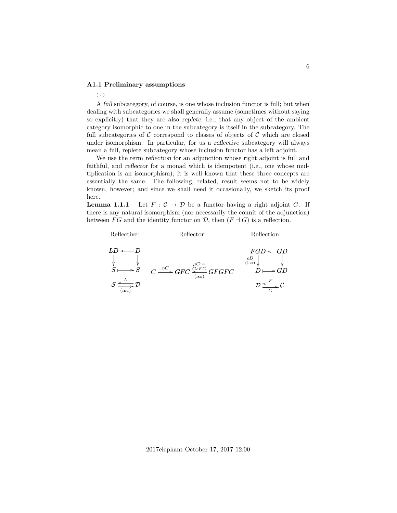# **A1.1 Preliminary assumptions**

#### (...)

A full subcategory, of course, is one whose inclusion functor is full; but when dealing with subcategories we shall generally assume (sometimes without saying so explicitly) that they are also replete, i.e., that any object of the ambient category isomorphic to one in the subcategory is itself in the subcategory. The full subcategories of C correspond to classes of objects of C which are closed under isomorphism. In particular, for us a reflective subcategory will always mean a full, replete subcategory whose inclusion functor has a left adjoint.

We use the term reflection for an adjunction whose right adjoint is full and faithful, and reflector for a monad which is idempotent (i.e., one whose multiplication is an isomorphism); it is well known that these three concepts are essentially the same. The following, related, result seems not to be widely known, however; and since we shall need it occasionally, we sketch its proof here.

**Lemma 1.1.1** Let  $F: \mathcal{C} \to \mathcal{D}$  be a functor having a right adjoint G. If there is any natural isomorphism (nor necessarily the counit of the adjunction) between FG and the identity functor on  $\mathcal{D}$ , then  $(F \dashv G)$  is a reflection.

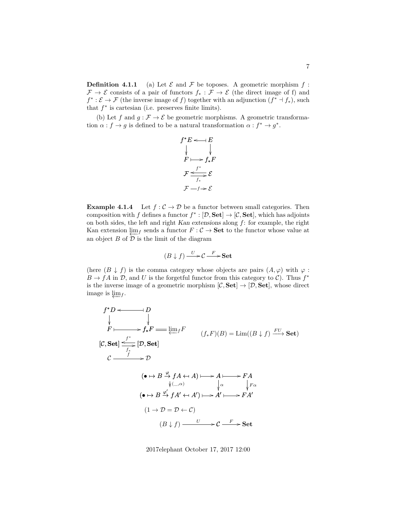**Definition 4.1.1** (a) Let  $\mathcal{E}$  and  $\mathcal{F}$  be toposes. A geometric morphism  $f$ :  $\mathcal{F} \to \mathcal{E}$  consists of a pair of functors  $f_* : \mathcal{F} \to \mathcal{E}$  (the direct image of f) and  $f^* : \mathcal{E} \to \mathcal{F}$  (the inverse image of f) together with an adjunction  $(f^* \dashv f_*)$ , such that  $f^*$  is cartesian (i.e. preserves finite limits).

(b) Let f and  $g : \mathcal{F} \to \mathcal{E}$  be geometric morphisms. A geometric transformation  $\alpha : f \to g$  is defined to be a natural transformation  $\alpha : f^* \to g^*$ .

$$
f^*E \leftarrow E
$$
  
\n
$$
\downarrow \qquad \downarrow F \longmapsto f_*F
$$
  
\n
$$
\mathcal{F} \xrightarrow{f^*} \mathcal{E}
$$
  
\n
$$
\mathcal{F} \xrightarrow{f^*} \mathcal{E}
$$
  
\n
$$
\mathcal{F} \xrightarrow{f^*} \mathcal{E}
$$

**Example 4.1.4** Let  $f : C \to \mathcal{D}$  be a functor between small categories. Then composition with f defines a functor  $f^* : [\mathcal{D}, \mathbf{Set}] \to [\mathcal{C}, \mathbf{Set}]$ , which has adjoints on both sides, the left and right Kan extensions along f: for example, the right Kan extension  $\varprojlim_{f}$  sends a functor  $F : C \to \mathbf{Set}$  to the functor whose value at an object  $B$  of  $\mathcal{D}$  is the limit of the diagram

$$
(B\downarrow f)\stackrel{U}{\longrightarrow} \mathcal{C}\stackrel{F}{\longrightarrow} \mathbf{Set}
$$

(here  $(B \downarrow f)$  is the comma category whose objects are pairs  $(A, \varphi)$  with  $\varphi$ :  $B \to fA$  in  $\mathcal{D}$ , and U is the forgetful functor from this category to C). Thus  $f^*$ is the inverse image of a geometric morphism  $[\mathcal{C}, \mathbf{Set}] \to [\mathcal{D}, \mathbf{Set}]$ , whose direct image is  $\varprojlim_{f}$ .

$$
f^*D \longleftarrow D
$$
\n
$$
\downarrow \qquad \qquad \downarrow
$$
\n
$$
F \longmapsto f_*F \longleftarrow \lim_{f^*} F
$$
\n
$$
[C, Set] \xrightarrow{f^*} [D, Set]
$$
\n
$$
C \xrightarrow{f} D
$$
\n
$$
(\bullet \mapsto B \xrightarrow{\varphi} fA \leftrightarrow A) \longmapsto A \longmapsto FA
$$
\n
$$
\downarrow \qquad \qquad \downarrow \alpha
$$
\n
$$
(\bullet \mapsto B \xrightarrow{\varphi'} fA' \leftrightarrow A') \longmapsto A' \longmapsto FA'
$$
\n
$$
(1 \to D = D \leftarrow C)
$$
\n
$$
(B \downarrow f) \xrightarrow{U} C \xrightarrow{F} Set
$$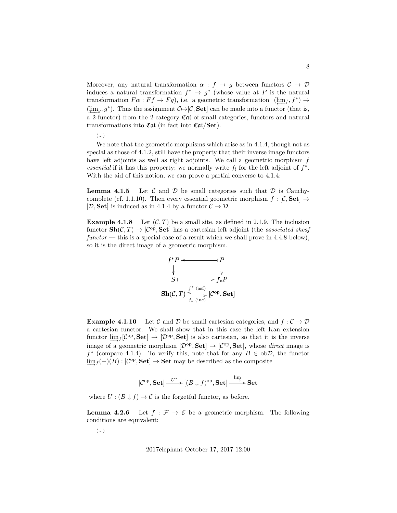Moreover, any natural transformation  $\alpha : f \to g$  between functors  $C \to D$ induces a natural transformation  $f^* \to g^*$  (whose value at F is the natural transformation  $Fa : Ff \to Fg$ , i.e. a geometric transformation  $(\underleftarrow{\lim}_{f}, f^*) \to$  $(\varprojlim_g, g^*)$ . Thus the assignment  $\mathcal{C} \rightarrow [\mathcal{C}, \mathbf{Set}]$  can be made into a functor (that is, a 2-functor) from the 2-category Cat of small categories, functors and natural transformations into  $\mathfrak{Cat}$  (in fact into  $\mathfrak{Cat}/\mathbf{Set}$ ).

(...)

We note that the geometric morphisms which arise as in 4.1.4, though not as special as those of 4.1.2, still have the property that their inverse image functors have left adjoints as well as right adjoints. We call a geometric morphism  $f$ *essential* if it has this property; we normally write  $f_!$  for the left adjoint of  $f^*$ . With the aid of this notion, we can prove a partial converse to 4.1.4:

**Lemma 4.1.5** Let C and D be small categories such that D is Cauchycomplete (cf. 1.1.10). Then every essential geometric morphism  $f : [\mathcal{C}, \mathbf{Set}] \rightarrow$ [D, Set] is induced as in 4.1.4 by a functor  $C \to \mathcal{D}$ .

**Example 4.1.8** Let  $(C, T)$  be a small site, as defined in 2.1.9. The inclusion functor  $\text{Sh}(\mathcal{C}, T) \to [\mathcal{C}^{\text{op}}, \text{Set}]$  has a cartesian left adjoint (the *associated sheaf functor* — this is a special case of a result which we shall prove in 4.4.8 below), so it is the direct image of a geometric morphism.



**Example 4.1.10** Let C and D be small cartesian categories, and  $f: \mathcal{C} \to \mathcal{D}$ a cartesian functor. We shall show that in this case the left Kan extension functor  $\underline{\lim}_{f}[\mathcal{C}^{op}, \mathbf{Set}] \rightarrow [\mathcal{D}^{op}, \mathbf{Set}]$  is also cartesian, so that it is the inverse image of a geometric morphism  $[\mathcal{D}^{\text{op}}, \mathbf{Set}] \to [\mathcal{C}^{\text{op}}, \mathbf{Set}]$ , whose *direct* image is  $f^*$  (compare 4.1.4). To verify this, note that for any  $B \in ob\mathcal{D}$ , the functor  $\underline{\lim}_{f}(-)(B):[\mathcal{C}^{\mathrm{op}},\mathbf{Set}]\to\mathbf{Set}$  may be described as the composite

$$
[\mathcal{C}^{op}, \mathbf{Set}] \xrightarrow{U^*} [(B \downarrow f)^{op}, \mathbf{Set}] \xrightarrow{\lim} \mathbf{Set}
$$

where  $U : (B \downarrow f) \to C$  is the forgetful functor, as before.

**Lemma 4.2.6** Let  $f : \mathcal{F} \to \mathcal{E}$  be a geometric morphism. The following conditions are equivalent:

(...)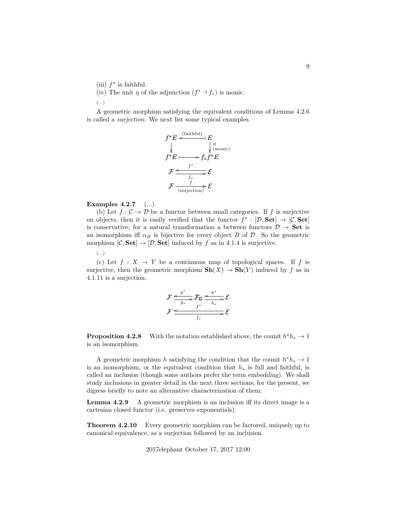- (iii)  $f^*$  is faithful.
- (iv) The unit  $\eta$  of the adjunction  $(f^* \dashv f_*)$  is monic.

(...)

A geometric morphism satisfying the equivalent conditions of Lemma 4.2.6 is called a *surjection*. We next list some typical examples.



**Examples 4.2.7** (...)

(b) Let  $f : C \to \mathcal{D}$  be a functor between small categories. If f is surjective on objects, then it is easily verified that the functor  $f^* : [\mathcal{D}, \mathbf{Set}] \to [\mathcal{C}, \mathbf{Set}]$ is conservative; for a natural transformation a between functors  $\mathcal{D} \to \mathbf{Set}$  is an isomorphism iff  $\alpha_B$  is bijective for every object B of D. So the geometric morphism  $[\mathcal{C}, \mathbf{Set}] \to [\mathcal{D}, \mathbf{Set}]$  induced by f as in 4.1.4 is surjective.

(...)

(c) Let  $f: X \to Y$  be a continuous map of topological spaces. If f is surjective, then the geometric morphism  $\mathbf{Sh}(X) \to \mathbf{Sh}(Y)$  induced by f as in 4.1.11 is a surjection.

$$
\mathcal{F} \xrightarrow{g^*} \mathcal{F}_{\mathbb{G}} \xrightarrow{h^*} \mathcal{E}
$$
\n
$$
\mathcal{F} \xrightarrow{f^*} \xrightarrow{h_*} \mathcal{E}
$$
\n
$$
\mathcal{F} \xrightarrow{f^*} \mathcal{E}
$$

**Proposition 4.2.8** With the notation established above, the counit  $h^*h_* \to 1$ is an isomorphism.

A geometric morphism h satisfying the condition that the counit  $h^*h_* \to 1$ is an isomorphism, or the equivalent condition that  $h_*$  is full and faithful, is called an inclusion (though some authors prefer the term embedding). We shall study inclusions in greater detail in the next three sections; for the present, we digress briefly to note an alternative characterization of them:

**Lemma 4.2.9** A geometric morphism is an inclusion iff its direct image is a cartesian closed functor (i.e. preserves exponentials).

**Theorem 4.2.10** Every geometric morphism can be factored, uniquely up to canonical equivalence, as a surjection followed by an inclusion.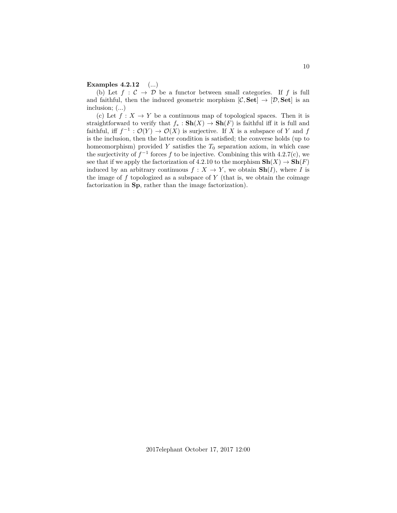### **Examples 4.2.12** (...)

(b) Let  $f : C \to \mathcal{D}$  be a functor between small categories. If f is full and faithful, then the induced geometric morphism  $[\mathcal{C}, \mathbf{Set}] \to [\mathcal{D}, \mathbf{Set}]$  is an inclusion; (...)

(c) Let  $f: X \to Y$  be a continuous map of topological spaces. Then it is straightforward to verify that  $f_* : Sh(X) \to Sh(F)$  is faithful iff it is full and faithful, iff  $f^{-1} : \mathcal{O}(Y) \to \mathcal{O}(X)$  is surjective. If X is a subspace of Y and f is the inclusion, then the latter condition is satisfied; the converse holds (up to homeomorphism) provided Y satisfies the  $T_0$  separation axiom, in which case the surjectivity of  $f^{-1}$  forces f to be injective. Combining this with 4.2.7(c), we see that if we apply the factorization of 4.2.10 to the morphism  $\mathbf{Sh}(X) \to \mathbf{Sh}(F)$ induced by an arbitrary continuous  $f: X \to Y$ , we obtain  $\text{Sh}(I)$ , where I is the image of  $f$  topologized as a subspace of  $Y$  (that is, we obtain the coimage factorization in Sp, rather than the image factorization).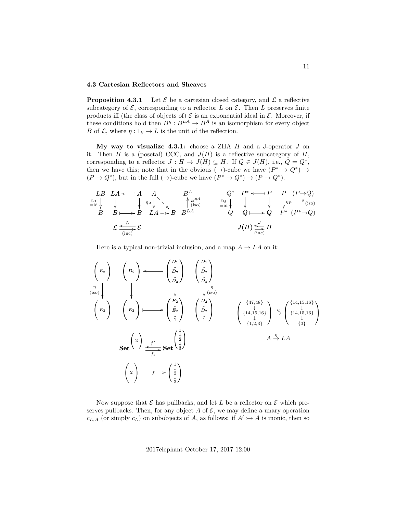## **4.3 Cartesian Reflectors and Sheaves**

**Proposition 4.3.1** Let  $\mathcal{E}$  be a cartesian closed category, and  $\mathcal{L}$  a reflective subcategory of  $\mathcal{E}$ , corresponding to a reflector L on  $\mathcal{E}$ . Then L preserves finite products iff (the class of objects of)  $\mathcal E$  is an exponential ideal in  $\mathcal E$ . Moreover, if these conditions hold then  $B^{\eta}: B^{LA} \to B^A$  is an isomorphism for every object B of  $\mathcal{L}$ , where  $\eta: 1_{\mathcal{E}} \to L$  is the unit of the reflection.

**My way to visualize 4.3.1:** choose a ZHA H and a J-operator J on it. Then H is a (posetal) CCC, and  $J(H)$  is a reflective subcategory of H, corresponding to a reflector  $J: H \to J(H) \subseteq H$ . If  $Q \in J(H)$ , i.e.,  $Q = Q^*$ , then we have this; note that in the obvious  $(\rightarrow)$ -cube we have  $(P^* \rightarrow Q^*) \rightarrow$  $(P \to Q^*)$ , but in the full  $(\to)$ -cube we have  $(P^* \to Q^*) \to (P \to Q^*)$ .

$$
LB \ L A \leftarrow A \ A \ B^A \ C^P \leftarrow P \ P (P \rightarrow Q)
$$
\n
$$
B \ B \longrightarrow B \ L A \rightarrow B \ B^{LA}
$$
\n
$$
C \leftarrow L
$$
\n
$$
B \leftarrow B \leftarrow B \ L A \rightarrow B \ B^{LA}
$$
\n
$$
C \leftarrow L
$$
\n
$$
B \leftarrow C \leftarrow L
$$
\n
$$
B \leftarrow C \leftarrow C
$$
\n
$$
J(H) \leftarrow J \leftarrow C
$$
\n
$$
J(H) \leftarrow C
$$
\n
$$
J(H) \leftarrow C
$$
\n
$$
J(H) \leftarrow C
$$
\n
$$
J(H) \leftarrow C
$$

Here is a typical non-trivial inclusion, and a map  $A \to LA$  on it:

 D<sup>2</sup> ! D<sup>1</sup> ↓ D<sup>2</sup> ↓ D<sup>3</sup> <sup>o</sup> ✤ E<sup>2</sup> ! E<sup>2</sup> ↓ E<sup>2</sup> ↓ 1 ✤ / Set <sup>2</sup> Set 1 ↓ 2 ↓ 3 o f ∗ f<sup>∗</sup> / 2 ! <sup>1</sup> ↓ 2 ↓ 3 ! <sup>f</sup> / E<sup>2</sup> ! E<sup>2</sup> ! η (iso) D<sup>1</sup> ↓ D<sup>2</sup> ↓ D<sup>3</sup> D<sup>2</sup> ↓ D<sup>2</sup> ↓ 1 η (iso) {47,48} ↓ {14,15,16} ↓ {1,2,3} η→ {14,15,16} ↓ {14,15,16} ↓ {0} A <sup>η</sup>→ LA

Now suppose that  $\mathcal E$  has pullbacks, and let  $L$  be a reflector on  $\mathcal E$  which preserves pullbacks. Then, for any object A of  $\mathcal{E}$ , we may define a unary operation  $c_{L,A}$  (or simply  $c_L$ ) on subobjects of A, as follows: if  $A' \rightarrowtail A$  is monic, then so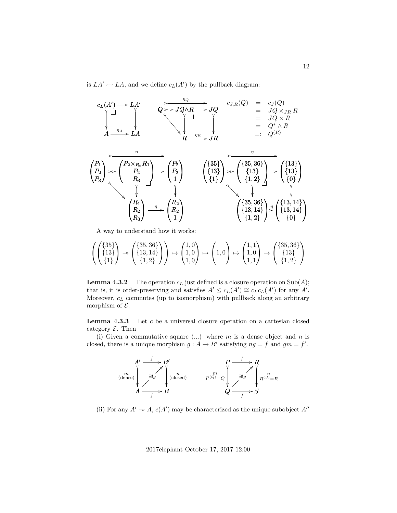is  $LA' \rightarrow LA$ , and we define  $c_L(A')$  by the pullback diagram:



A way to understand how it works:

$$
\left(\begin{pmatrix} \{35\} \\ \{13\} \\ \{1\} \end{pmatrix} \rightarrow \begin{pmatrix} \{35,36\} \\ \{13,14\} \\ \{1,2\} \end{pmatrix}\right) \rightarrow \begin{pmatrix} 1,0 \\ 1,0 \\ 1,0 \end{pmatrix} \mapsto \begin{pmatrix} 1,1 \\ 1,0 \\ 1,1 \end{pmatrix} \mapsto \begin{pmatrix} 1,1 \\ 1,0 \\ 1,1 \end{pmatrix} \rightarrow \begin{pmatrix} \{35,36\} \\ \{13\} \\ \{1,2\} \end{pmatrix}
$$

**Lemma 4.3.2** The operation  $c<sub>L</sub>$  just defined is a closure operation on Sub(A); that is, it is order-preserving and satisfies  $A' \leq c_L(A') \cong c_Lc_L(A')$  for any A'. Moreover,  $c_L$  commutes (up to isomorphism) with pullback along an arbitrary morphism of  $\mathcal{E}$ .

**Lemma 4.3.3** Let c be a universal closure operation on a cartesian closed category  $\mathcal E$ . Then

(i) Given a commutative square  $(...)$  where m is a dense object and n is closed, there is a unique morphism  $g : A \to B'$  satisfying  $ng = f$  and  $gm = f'$ .



(ii) For any  $A' \rightarrow A$ ,  $c(A')$  may be characterized as the unique subobject  $A''$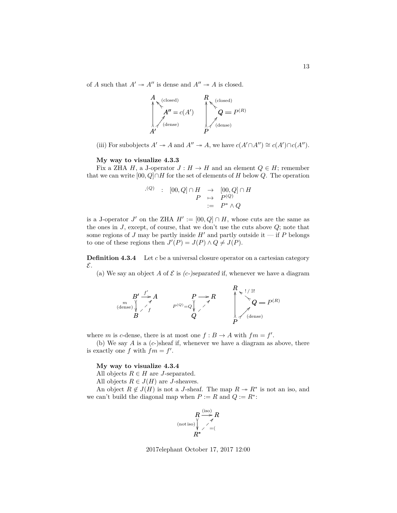of A such that  $A' \rightarrow A''$  is dense and  $A'' \rightarrow A$  is closed.

$$
\begin{array}{c}\nA \\
\uparrow \\
A'' = c(A') \\
\downarrow \\
A'\n\end{array}\n\qquad\n\begin{array}{c}\nR \\
\uparrow \\
Q = P^{(R)} \\
\downarrow \\
P\n\end{array}
$$

(iii) For subobjects  $A' \to A$  and  $A'' \to A$ , we have  $c(A' \cap A'') \cong c(A') \cap c(A'')$ .

#### **My way to visualize 4.3.3**

Fix a ZHA H, a J-operator  $J : H \to H$  and an element  $Q \in H$ ; remember that we can write  $[00, Q] \cap H$  for the set of elements of H below Q. The operation

$$
\begin{array}{rcl} (Q) & : & [00, Q] \cap H & \to & [00, Q] \cap H \\ & P & \mapsto & P^{(Q)} \\ & : & = & P^* \wedge Q \end{array}
$$

is a J-operator J' on the ZHA  $H' := [00, Q] \cap H$ , whose cuts are the same as the ones in  $J$ , except, of course, that we don't use the cuts above  $Q$ ; note that some regions of J may be partly inside  $H'$  and partly outside it — if P belongs to one of these regions then  $J'(P) = J(P) \wedge Q \neq J(P)$ .

**Definition 4.3.4** Let c be a universal closure operator on a cartesian category E.

(a) We say an object A of  $\mathcal E$  is (c-)separated if, whenever we have a diagram

$$
B' \xrightarrow{f'} A
$$
  
\n
$$
B'' \xrightarrow{f'} A
$$
  
\n
$$
P \rightarrow R
$$
  
\n
$$
Q
$$
  
\n
$$
Q
$$
  
\n
$$
P \rightarrow R
$$
  
\n
$$
Q = P^{(R)}
$$
  
\n
$$
Q
$$
  
\n
$$
P \rightarrow R
$$
  
\n
$$
Q = P^{(R)}
$$
  
\n
$$
Q
$$
  
\n
$$
Q
$$
  
\n
$$
Q
$$
  
\n
$$
Q
$$
  
\n
$$
Q
$$
  
\n
$$
Q
$$
  
\n
$$
Q
$$
  
\n
$$
Q
$$
  
\n
$$
Q
$$
  
\n
$$
Q
$$
  
\n
$$
Q
$$
  
\n
$$
Q
$$
  
\n
$$
Q
$$
  
\n
$$
Q
$$
  
\n
$$
Q
$$
  
\n
$$
Q
$$
  
\n
$$
Q
$$
  
\n
$$
Q
$$
  
\n
$$
Q
$$
  
\n
$$
Q
$$
  
\n
$$
Q
$$
  
\n
$$
Q
$$
  
\n
$$
Q
$$
  
\n
$$
Q
$$
  
\n
$$
Q
$$
  
\n
$$
Q
$$
  
\n
$$
Q
$$
  
\n
$$
Q
$$
  
\n
$$
Q
$$
  
\n
$$
Q
$$
  
\n
$$
Q
$$
  
\n
$$
Q
$$
  
\n
$$
Q
$$
  
\n
$$
Q
$$
  
\n
$$
Q
$$
  
\n
$$
Q
$$
  
\n
$$
Q
$$
  
\n
$$
Q
$$
  
\n
$$
Q
$$
  
\n
$$
Q
$$
  
\n
$$
Q
$$
  
\n
$$
Q
$$
  
\n
$$
Q
$$
  
\n
$$
Q
$$
  
\n
$$
Q
$$
  
\n
$$
Q
$$
  
\n

where m is c-dense, there is at most one  $f : B \to A$  with  $fm = f'$ .

(b) We say A is a  $(c-)$ sheaf if, whenever we have a diagram as above, there is exactly one f with  $fm = f'$ .

## **My way to visualize 4.3.4**

All objects  $R \in H$  are J-separated.

All objects  $R \in J(H)$  are J-sheaves.

An object  $R \notin J(H)$  is not a J-sheaf. The map  $R \to R^*$  is not an iso, and we can't build the diagonal map when  $P := R$  and  $Q := R^*$ :



2017elephant October 17, 2017 12:00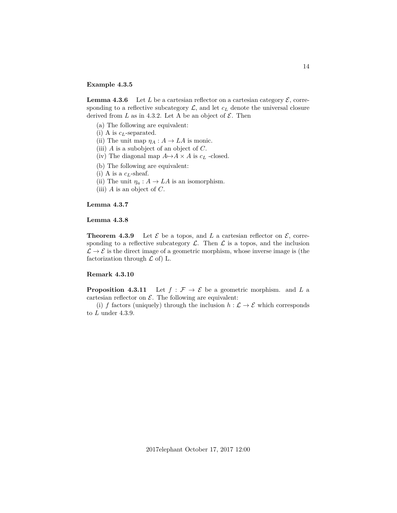### **Example 4.3.5**

**Lemma 4.3.6** Let L be a cartesian reflector on a cartesian category  $\mathcal{E}$ , corresponding to a reflective subcategory  $\mathcal{L}$ , and let  $c_L$  denote the universal closure derived from L as in 4.3.2. Let A be an object of  $\mathcal{E}$ . Then

- (a) The following are equivalent:
- (i) A is  $c<sub>L</sub>$ -separated.
- (ii) The unit map  $\eta_A : A \to LA$  is monic.
- (iii)  $A$  is a subobject of an object of  $C$ .
- (iv) The diagonal map  $A \rightarrow A \times A$  is  $c<sub>L</sub>$  -closed.
- (b) The following are equivalent:
- (i) A is a  $c_L$ -sheaf.
- (ii) The unit  $\eta_a: A \to LA$  is an isomorphism.
- (iii)  $A$  is an object of  $C$ .

# **Lemma 4.3.7**

## **Lemma 4.3.8**

**Theorem 4.3.9** Let  $\mathcal{E}$  be a topos, and L a cartesian reflector on  $\mathcal{E}$ , corresponding to a reflective subcategory  $\mathcal{L}$ . Then  $\mathcal{L}$  is a topos, and the inclusion  $\mathcal{L} \to \mathcal{E}$  is the direct image of a geometric morphism, whose inverse image is (the factorization through  $\mathcal L$  of) L.

# **Remark 4.3.10**

**Proposition 4.3.11** Let  $f : \mathcal{F} \to \mathcal{E}$  be a geometric morphism. and L a cartesian reflector on  $\mathcal{E}$ . The following are equivalent:

(i) f factors (uniquely) through the inclusion  $h : \mathcal{L} \to \mathcal{E}$  which corresponds to  $L$  under 4.3.9.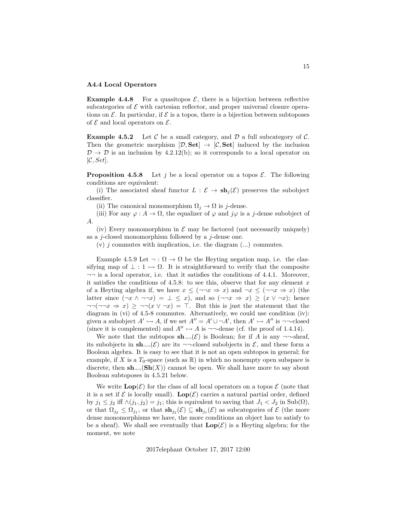### **A4.4 Local Operators**

**Example 4.4.8** For a quasitopos  $\mathcal{E}$ , there is a bijection between reflective subcategories of  $\mathcal E$  with cartesian reflector, and proper universal closure operations on  $\mathcal E$ . In particular, if  $\mathcal E$  is a topos, there is a bijection between subtoposes of  $\mathcal E$  and local operators on  $\mathcal E$ .

**Example 4.5.2** Let C be a small category, and D a full subcategory of C. Then the geometric morphism  $[\mathcal{D}, \mathbf{Set}] \rightarrow [\mathcal{C}, \mathbf{Set}]$  induced by the inclusion  $\mathcal{D} \to \mathcal{D}$  is an inclusion by 4.2.12(b); so it corresponds to a local operator on  $[\mathcal{C}, Set]$ .

**Proposition 4.5.8** Let j be a local operator on a topos  $\mathcal{E}$ . The following conditions are equivalent:

(i) The associated sheaf functor  $L : \mathcal{E} \to \mathbf{sh}_i(\mathcal{E})$  preserves the subobject classifier.

(ii) The canonical monomorphism  $\Omega_i \to \Omega$  is j-dense.

(iii) For any  $\varphi: A \to \Omega$ , the equalizer of  $\varphi$  and  $j\varphi$  is a j-dense subobject of A.

(iv) Every monomorphism in  $\mathcal E$  may be factored (not necessarily uniquely) as a *j*-closed monomorphism followed by a *j*-dense one.

 $(v)$  j commutes with implication, i.e. the diagram  $(...)$  commutes.

Example 4.5.9 Let  $\neg: \Omega \to \Omega$  be the Heyting negation map, i.e. the classifying map of  $\perp : 1 \rightarrow \Omega$ . It is straightforward to verify that the composite  $\neg\neg$  is a local operator, i.e. that it satisfies the conditions of 4.4.1. Moreover, it satisfies the conditions of 4.5.8: to see this, observe that for any element  $x$ of a Heyting algebra if, we have  $x \leq (\neg \neg x \Rightarrow x)$  and  $\neg x \leq (\neg \neg x \Rightarrow x)$  (the latter since  $(\neg x \land \neg\neg x) = \bot \leq x$ , and so  $(\neg\neg x \Rightarrow x) \geq (x \lor \neg x)$ ; hence  $\neg\neg(\neg\neg x \Rightarrow x) \ge \neg\neg(x \vee \neg x) = \top$ . But this is just the statement that the diagram in (vi) of 4.5-8 commutes. Alternatively, we could use condition (iv): given a subobject  $A' \rightarrow A$ , if we set  $A'' = A' \cup \neg A'$ , then  $A' \rightarrow A''$  is  $\neg\neg\neg\neg\n closed$ (since it is complemented) and  $A'' \rightarrowtail A$  is  $\neg\neg$ -dense (cf. the proof of 1.4.14).

We note that the subtopos  $\mathbf{sh}_{\neg\neg}(\mathcal{E})$  is Boolean; for if A is any  $\neg\neg\text{-sheaf}$ , its subobjects in  $\mathbf{sh}_{\neg\neg}(\mathcal{E})$  are its  $\neg\neg$ -closed subobjects in  $\mathcal{E}$ , and these form a Boolean algebra. It is easy to see that it is not an open subtopos in general; for example, if X is a  $T_0$ -space (such as  $\mathbb{R}$ ) in which no nonempty open subspace is discrete, then  $\mathbf{sh}_{\neg\neg}(\mathbf{Sh}(X))$  cannot be open. We shall have more to say about Boolean subtoposes in 4.5.21 below.

We write  $\text{Lop}(\mathcal{E})$  for the class of all local operators on a topos  $\mathcal E$  (note that it is a set if  $\mathcal E$  is locally small).  $\text{Lop}(\mathcal E)$  carries a natural partial order, defined by  $j_1 \leq j_2$  iff  $\wedge (j_1, j_2) = j_1$ ; this is equivalent to saving that  $J_1 < J_2$  in  $\text{Sub}(\Omega)$ , or that  $\Omega_{j_2} \leq \Omega_{j_1}$ , or that  $\mathbf{sh}_{j_2}(\mathcal{E}) \subseteq \mathbf{sh}_{j_1}(\mathcal{E})$  as subcategories of  $\mathcal{E}$  (the more dense monomorphisms we have, the more conditions an object has to satisfy to be a sheaf). We shall see eventually that  $\text{Lop}(\mathcal{E})$  is a Heyting algebra; for the moment, we note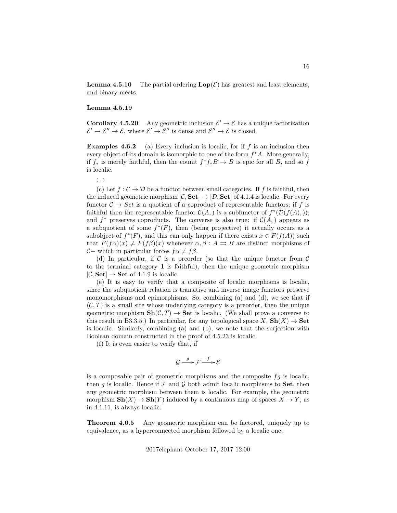**Lemma 4.5.10** The partial ordering  $\text{Lop}(\mathcal{E})$  has greatest and least elements, and binary meets.

## **Lemma 4.5.19**

**Corollary 4.5.20** Any geometric inclusion  $\mathcal{E}' \to \mathcal{E}$  has a unique factorization  $\mathcal{E}' \to \mathcal{E}'' \to \mathcal{E}$ , where  $\mathcal{E}' \to \mathcal{E}''$  is dense and  $\mathcal{E}'' \to \mathcal{E}$  is closed.

**Examples 4.6.2** (a) Every inclusion is localic, for if f is an inclusion then every object of its domain is isomorphic to one of the form  $f^*A$ . More generally, if  $f_*$  is merely faithful, then the counit  $f^*f_*B \to B$  is epic for all B, and so f is localic.

# (...)

(c) Let  $f : \mathcal{C} \to \mathcal{D}$  be a functor between small categories. If f is faithful, then the induced geometric morphism  $[\mathcal{C}, \mathbf{Set}] \to [\mathcal{D}, \mathbf{Set}]$  of 4.1.4 is localic. For every functor  $C \rightarrow Set$  is a quotient of a coproduct of representable functors; if f is faithful then the representable functor  $C(A)$  is a subfunctor of  $f^*(\mathcal{D}(f(A),))$ ; and  $f^*$  preserves coproducts. The converse is also true: if  $C(A)$ , appears as a subquotient of some  $f^*(F)$ , then (being projective) it actually occurs as a subobject of  $f^*(F)$ , and this can only happen if there exists  $x \in F(f(A))$  such that  $F(f\alpha)(x) \neq F(f\beta)(x)$  whenever  $\alpha, \beta : A \rightrightarrows B$  are distinct morphisms of C– which in particular forces  $f \alpha \neq f \beta$ .

(d) In particular, if C is a preorder (so that the unique functor from  $\mathcal C$ to the terminal category 1 is faithful), then the unique geometric morphism  $[\mathcal{C}, \mathbf{Set}] \rightarrow \mathbf{Set}$  of 4.1.9 is localic.

(e) It is easy to verify that a composite of localic morphisms is localic, since the subquotient relation is transitive and inverse image functors preserve monomorphisms and epimorphisms. So, combining (a) and (d), we see that if  $(C, T)$  is a small site whose underlying category is a preorder, then the unique geometric morphism  $\text{Sh}(\mathcal{C}, T) \to \text{Set}$  is localic. (We shall prove a converse to this result in B3.3.5.) In particular, for any topological space  $X$ ,  $\text{Sh}(X) \to \text{Set}$ is localic. Similarly, combining (a) and (b), we note that the surjection with Boolean domain constructed in the proof of 4.5.23 is localic.

(f) It is even easier to verify that, if

$$
\mathcal{G} \xrightarrow{g} \mathcal{F} \xrightarrow{f} \mathcal{E}
$$

is a composable pair of geometric morphisms and the composite  $fg$  is localic, then g is localic. Hence if  $\mathcal F$  and  $\mathcal G$  both admit localic morphisms to **Set**, then any geometric morphism between them is localic. For example, the geometric morphism  $\mathbf{Sh}(X) \to \mathbf{Sh}(Y)$  induced by a continuous map of spaces  $X \to Y$ , as in 4.1.11, is always localic.

**Theorem 4.6.5** Any geometric morphism can be factored, uniquely up to equivalence, as a hyperconnected morphism followed by a localic one.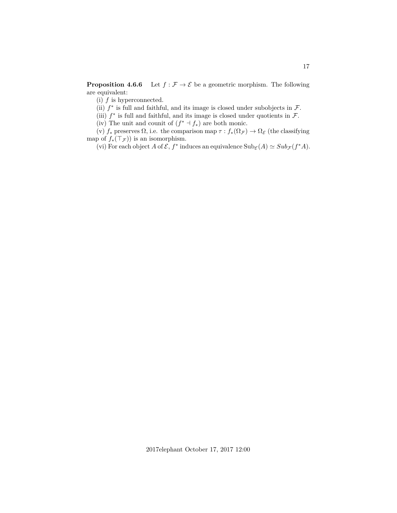**Proposition 4.6.6** Let  $f : \mathcal{F} \to \mathcal{E}$  be a geometric morphism. The following are equivalent:

(i)  $f$  is hyperconnected.

(ii)  $f^*$  is full and faithful, and its image is closed under subobjects in  $\mathcal{F}$ .

(iii)  $f^*$  is full and faithful, and its image is closed under quotients in  $\mathcal{F}$ .

(iv) The unit and counit of  $(f^* \dashv f_*)$  are both monic.

(v)  $f_*$  preserves  $\Omega$ , i.e. the comparison map  $\tau : f_*(\Omega_{\mathcal{F}}) \to \Omega_{\mathcal{E}}$  (the classifying map of  $f_*(\top_{\mathcal{F}})$  is an isomorphism.

(vi) For each object A of  $\mathcal{E}, f^*$  induces an equivalence  $\text{Sub}_{\mathcal{E}}(A) \simeq \text{Sub}_{\mathcal{F}}(f^*A)$ .